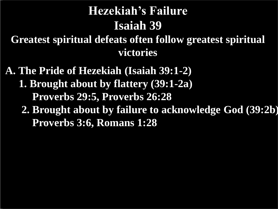# **Hezekiah's Failure Isaiah 39**

**Greatest spiritual defeats often follow greatest spiritual victories**

**A. The Pride of Hezekiah (Isaiah 39:1-2) 1. Brought about by flattery (39:1-2a) Proverbs 29:5, Proverbs 26:28 2. Brought about by failure to acknowledge God (39:2b) Proverbs 3:6, Romans 1:28**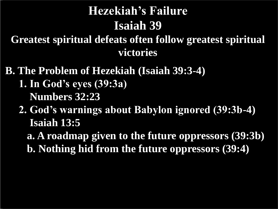# **Hezekiah's Failure Isaiah 39**

**Greatest spiritual defeats often follow greatest spiritual victories**

- **B. The Problem of Hezekiah (Isaiah 39:3-4)**
	- **1. In God's eyes (39:3a) Numbers 32:23**
	- **2. God's warnings about Babylon ignored (39:3b-4) Isaiah 13:5**

 **a. A roadmap given to the future oppressors (39:3b) b. Nothing hid from the future oppressors (39:4)**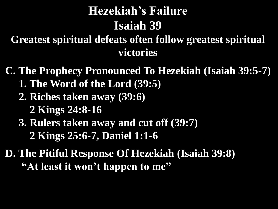# **Hezekiah's Failure Isaiah 39**

**Greatest spiritual defeats often follow greatest spiritual victories**

**C. The Prophecy Pronounced To Hezekiah (Isaiah 39:5-7) 1. The Word of the Lord (39:5) 2. Riches taken away (39:6) 2 Kings 24:8-16 3. Rulers taken away and cut off (39:7) 2 Kings 25:6-7, Daniel 1:1-6**

**D. The Pitiful Response Of Hezekiah (Isaiah 39:8) "At least it won't happen to me"**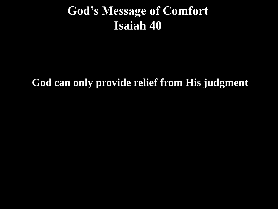#### **God's Message of Comfort Isaiah 40**

#### **God can only provide relief from His judgment**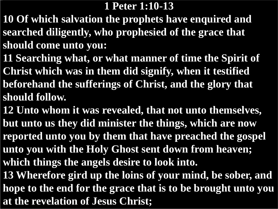#### **1 Peter 1:10-13**

- **10 Of which salvation the prophets have enquired and searched diligently, who prophesied of the grace that should come unto you:**
- **11 Searching what, or what manner of time the Spirit of Christ which was in them did signify, when it testified beforehand the sufferings of Christ, and the glory that should follow.**
- **12 Unto whom it was revealed, that not unto themselves, but unto us they did minister the things, which are now reported unto you by them that have preached the gospel unto you with the Holy Ghost sent down from heaven; which things the angels desire to look into.**
- **13 Wherefore gird up the loins of your mind, be sober, and hope to the end for the grace that is to be brought unto you at the revelation of Jesus Christ;**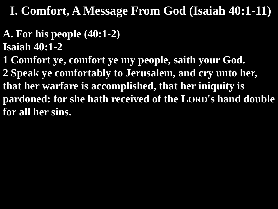#### **A. For his people (40:1-2) Isaiah 40:1-2**

**1 Comfort ye, comfort ye my people, saith your God. 2 Speak ye comfortably to Jerusalem, and cry unto her, that her warfare is accomplished, that her iniquity is pardoned: for she hath received of the LORD's hand double for all her sins.**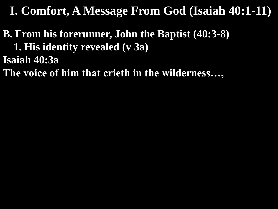**B. From his forerunner, John the Baptist (40:3-8) 1. His identity revealed (v 3a) Isaiah 40:3a The voice of him that crieth in the wilderness…,**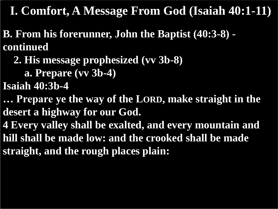**B. From his forerunner, John the Baptist (40:3-8) continued**

 **2. His message prophesized (vv 3b-8)**

 **a. Prepare (vv 3b-4)**

**Isaiah 40:3b-4**

**… Prepare ye the way of the LORD, make straight in the desert a highway for our God.**

**4 Every valley shall be exalted, and every mountain and hill shall be made low: and the crooked shall be made straight, and the rough places plain:**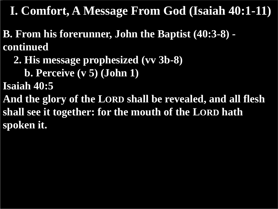**B. From his forerunner, John the Baptist (40:3-8) continued**

 **2. His message prophesized (vv 3b-8)**

 **b. Perceive (v 5) (John 1)**

**Isaiah 40:5**

**And the glory of the LORD shall be revealed, and all flesh shall see it together: for the mouth of the LORD hath spoken it.**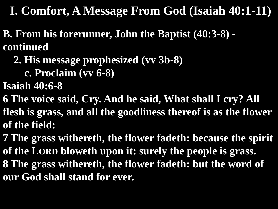- **B. From his forerunner, John the Baptist (40:3-8) continued**
	- **2. His message prophesized (vv 3b-8)**
		- **c. Proclaim (vv 6-8)**
- **Isaiah 40:6-8**
- **6 The voice said, Cry. And he said, What shall I cry? All**
- **flesh is grass, and all the goodliness thereof is as the flower of the field:**
- **7 The grass withereth, the flower fadeth: because the spirit of the LORD bloweth upon it: surely the people is grass. 8 The grass withereth, the flower fadeth: but the word of our God shall stand for ever.**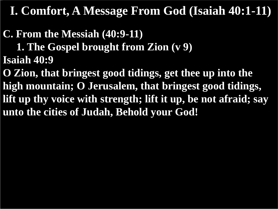**C. From the Messiah (40:9-11) 1. The Gospel brought from Zion (v 9) Isaiah 40:9**

**O Zion, that bringest good tidings, get thee up into the high mountain; O Jerusalem, that bringest good tidings, lift up thy voice with strength; lift it up, be not afraid; say unto the cities of Judah, Behold your God!**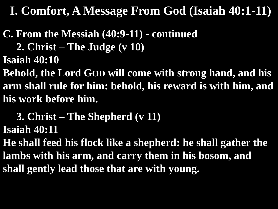**C. From the Messiah (40:9-11) - continued**

 **2. Christ – The Judge (v 10)**

**Isaiah 40:10**

**Behold, the Lord GOD will come with strong hand, and his arm shall rule for him: behold, his reward is with him, and his work before him.**

 **3. Christ – The Shepherd (v 11) Isaiah 40:11**

**He shall feed his flock like a shepherd: he shall gather the lambs with his arm, and carry them in his bosom, and shall gently lead those that are with young.**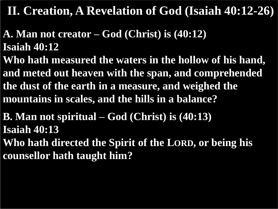- **A. Man not creator – God (Christ) is (40:12) Isaiah 40:12**
- **Who hath measured the waters in the hollow of his hand, and meted out heaven with the span, and comprehended the dust of the earth in a measure, and weighed the mountains in scales, and the hills in a balance?**

**B. Man not spiritual – God (Christ) is (40:13) Isaiah 40:13 Who hath directed the Spirit of the LORD, or being his counsellor hath taught him?**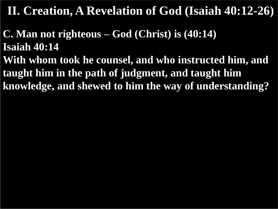**C. Man not righteous – God (Christ) is (40:14) Isaiah 40:14**

**With whom took he counsel, and who instructed him, and taught him in the path of judgment, and taught him knowledge, and shewed to him the way of understanding?**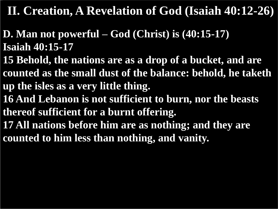- **D. Man not powerful – God (Christ) is (40:15-17) Isaiah 40:15-17**
- **15 Behold, the nations are as a drop of a bucket, and are counted as the small dust of the balance: behold, he taketh up the isles as a very little thing.**
- **16 And Lebanon is not sufficient to burn, nor the beasts thereof sufficient for a burnt offering.**
- **17 All nations before him are as nothing; and they are counted to him less than nothing, and vanity.**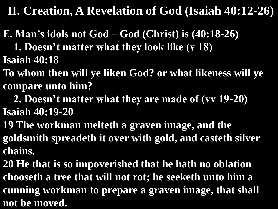**E. Man's idols not God – God (Christ) is (40:18-26)**

 **1. Doesn't matter what they look like (v 18) Isaiah 40:18**

**To whom then will ye liken God? or what likeness will ye compare unto him?**

 **2. Doesn't matter what they are made of (vv 19-20) Isaiah 40:19-20**

**19 The workman melteth a graven image, and the goldsmith spreadeth it over with gold, and casteth silver** 

**chains.**

**20 He that is so impoverished that he hath no oblation chooseth a tree that will not rot; he seeketh unto him a cunning workman to prepare a graven image, that shall not be moved.**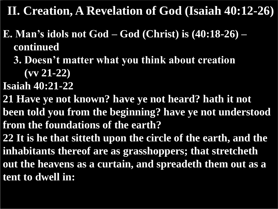- **E. Man's idols not God – God (Christ) is (40:18-26) – continued**
	- **3. Doesn't matter what you think about creation**

 **(vv 21-22)**

- **Isaiah 40:21-22**
- **21 Have ye not known? have ye not heard? hath it not been told you from the beginning? have ye not understood from the foundations of the earth?**
- **22 It is he that sitteth upon the circle of the earth, and the inhabitants thereof are as grasshoppers; that stretcheth out the heavens as a curtain, and spreadeth them out as a tent to dwell in:**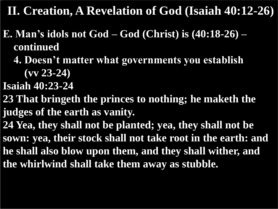- **E. Man's idols not God – God (Christ) is (40:18-26) – continued**
	- **4. Doesn't matter what governments you establish**

 **(vv 23-24)**

- **Isaiah 40:23-24**
- **23 That bringeth the princes to nothing; he maketh the judges of the earth as vanity.**
- **24 Yea, they shall not be planted; yea, they shall not be sown: yea, their stock shall not take root in the earth: and he shall also blow upon them, and they shall wither, and the whirlwind shall take them away as stubble.**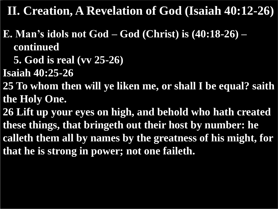- **E. Man's idols not God – God (Christ) is (40:18-26) – continued**
	- **5. God is real (vv 25-26)**
- **Isaiah 40:25-26**
- **25 To whom then will ye liken me, or shall I be equal? saith the Holy One.**
- **26 Lift up your eyes on high, and behold who hath created these things, that bringeth out their host by number: he calleth them all by names by the greatness of his might, for that he is strong in power; not one faileth.**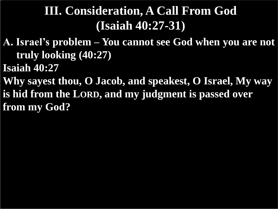- **A. Israel's problem – You cannot see God when you are not truly looking (40:27)**
- **Isaiah 40:27**
- **Why sayest thou, O Jacob, and speakest, O Israel, My way is hid from the LORD, and my judgment is passed over from my God?**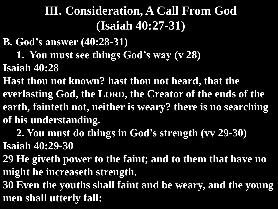**B. God's answer (40:28-31)**

 **1. You must see things God's way (v 28)**

**Isaiah 40:28**

**Hast thou not known? hast thou not heard, that the everlasting God, the LORD, the Creator of the ends of the earth, fainteth not, neither is weary? there is no searching of his understanding.**

 **2. You must do things in God's strength (vv 29-30)**

**Isaiah 40:29-30**

**29 He giveth power to the faint; and to them that have no might he increaseth strength.**

**30 Even the youths shall faint and be weary, and the young men shall utterly fall:**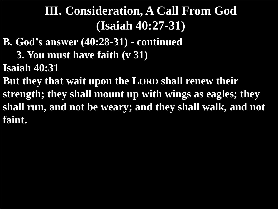- **B. God's answer (40:28-31) - continued**
	- **3. You must have faith (v 31)**
- **Isaiah 40:31**
- **But they that wait upon the LORD shall renew their strength; they shall mount up with wings as eagles; they shall run, and not be weary; and they shall walk, and not faint.**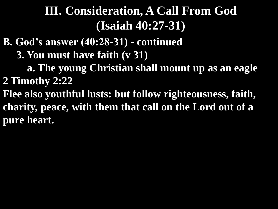**B. God's answer (40:28-31) - continued**

 **3. You must have faith (v 31)**

 **a. The young Christian shall mount up as an eagle 2 Timothy 2:22**

**Flee also youthful lusts: but follow righteousness, faith, charity, peace, with them that call on the Lord out of a pure heart.**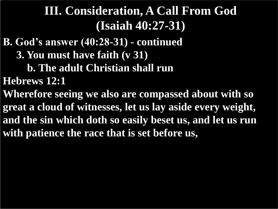- **B. God's answer (40:28-31) - continued**
	- **3. You must have faith (v 31)**
		- **b. The adult Christian shall run**
- **Hebrews 12:1**
- **Wherefore seeing we also are compassed about with so great a cloud of witnesses, let us lay aside every weight, and the sin which doth so easily beset us, and let us run with patience the race that is set before us,**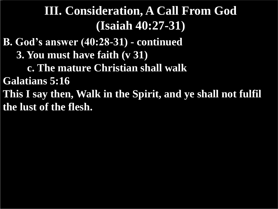- **B. God's answer (40:28-31) - continued**
	- **3. You must have faith (v 31)**
		- **c. The mature Christian shall walk**
- **Galatians 5:16**
- **This I say then, Walk in the Spirit, and ye shall not fulfil the lust of the flesh.**